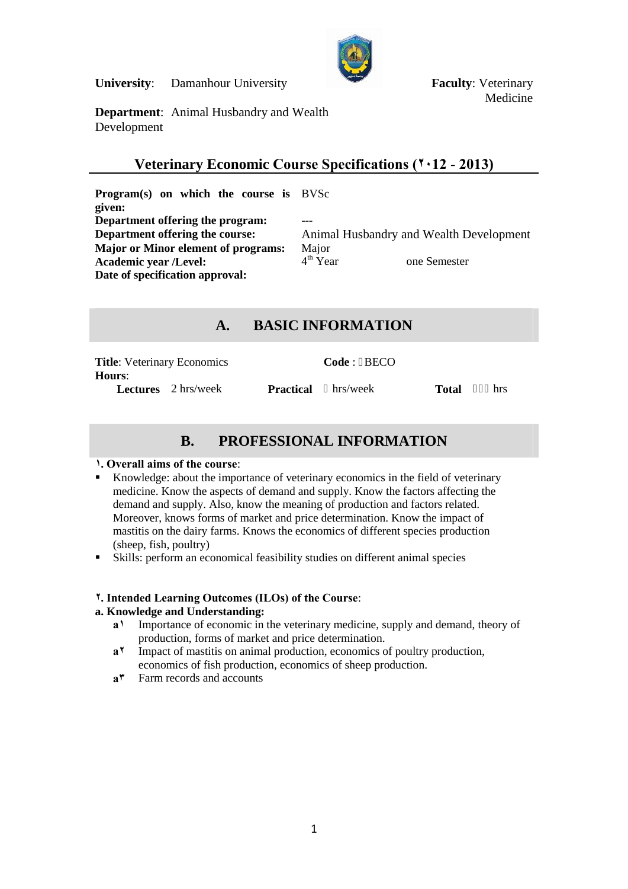**University:** Damanhour University **Faculty: Veterinary** 



Medicine

**Department**: Animal Husbandry and Wealth Development

## **Veterinary Economic Course Specifications (٢٠12 - 2013)**

**Program(s) on which the course is** BVSc **given: Department offering the program:**<br>**Department offering the course: Major or Minor element of programs:** Major<br>**Academic vear /Level:**  $4^{\text{th}}$  Year **Academic year /Level:** 4 **Date of specification approval:**

Animal Husbandry and Wealth Development one Semester

# **A. BASIC INFORMATION**

| <b>Title:</b> Veterinary Economics   |           | Code: BECO |       |     |
|--------------------------------------|-----------|------------|-------|-----|
| Hours:<br><b>Lectures</b> 2 hrs/week | Practical | hrs/week   | Total | hrs |

# **B. PROFESSIONAL INFORMATION**

## **١. Overall aims of the course**:

- Knowledge: about the importance of veterinary economics in the field of veterinary medicine. Know the aspects of demand and supply. Know the factors affecting the demand and supply. Also, know the meaning of production and factors related. Moreover, knows forms of market and price determination. Know the impact of mastitis on the dairy farms. Knows the economics of different species production (sheep, fish, poultry)
- Skills: perform an economical feasibility studies on different animal species

## **٢. Intended Learning Outcomes (ILOs) of the Course**:

## **a. Knowledge and Understanding:**

- **a١** Importance of economic in the veterinary medicine, supply and demand, theory of production, forms of market and price determination.
- **a٢** Impact of mastitis on animal production, economics of poultry production, economics of fish production, economics of sheep production.
- **a٣** Farm records and accounts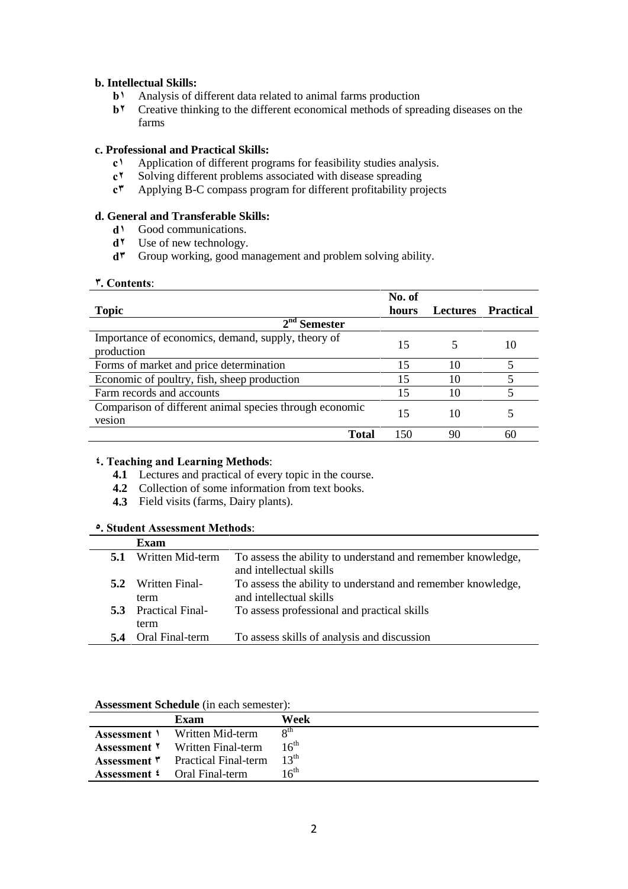## **b. Intellectual Skills:**

- **b1** Analysis of different data related to animal farms production **b1** Creative thinking to the different economical methods of spre
- Creative thinking to the different economical methods of spreading diseases on the farms

## **c. Professional and Practical Skills:**

- **c1** Application of different programs for feasibility studies analysis.<br>**c<sup>1</sup>** Solving different problems associated with disease spreading
- Solving different problems associated with disease spreading
- **c٣** Applying B-C compass program for different profitability projects

## **d. General and Transferable Skills:**

- **d١** Good communications.
- **d٢** Use of new technology.
- **d٣** Group working, good management and problem solving ability.

#### **٣. Contents**:

|                                                                   | No. of |                 |                  |  |  |
|-------------------------------------------------------------------|--------|-----------------|------------------|--|--|
| <b>Topic</b>                                                      | hours  | <b>Lectures</b> | <b>Practical</b> |  |  |
| $2nd$ Semester                                                    |        |                 |                  |  |  |
| Importance of economics, demand, supply, theory of<br>production  | 15     |                 | 10               |  |  |
| Forms of market and price determination                           | 15     | 10              |                  |  |  |
| Economic of poultry, fish, sheep production                       | 15     | 10              |                  |  |  |
| Farm records and accounts                                         |        | 10              |                  |  |  |
| Comparison of different animal species through economic<br>vesion | 15     | 10              |                  |  |  |
| Total                                                             | 150    | 90              | 60               |  |  |

## **٤. Teaching and Learning Methods**:

- **4.1** Lectures and practical of every topic in the course.
- **4.2** Collection of some information from text books.
- **4.3** Field visits (farms, Dairy plants).

## **٥. Student Assessment Methods**:

|     | Exam                        |                                                                                        |
|-----|-----------------------------|----------------------------------------------------------------------------------------|
| 5.1 | Written Mid-term            | To assess the ability to understand and remember knowledge,<br>and intellectual skills |
|     |                             |                                                                                        |
|     | 5.2 Written Final-          | To assess the ability to understand and remember knowledge,                            |
|     | term                        | and intellectual skills                                                                |
|     | <b>5.3</b> Practical Final- | To assess professional and practical skills                                            |
|     | term                        |                                                                                        |
|     | <b>5.4</b> Oral Final-term  | To assess skills of analysis and discussion                                            |

#### **Assessment Schedule** (in each semester):

| Exam                                        | Week             |
|---------------------------------------------|------------------|
| <b>Assessment</b> <i>N</i> Written Mid-term | 8 <sup>th</sup>  |
| <b>Assessment Y</b> Written Final-term      | 16 <sup>th</sup> |
| <b>Assessment "</b> Practical Final-term    | $12^{th}$        |
| <b>Assessment 4</b> Oral Final-term         | 16 <sup>th</sup> |